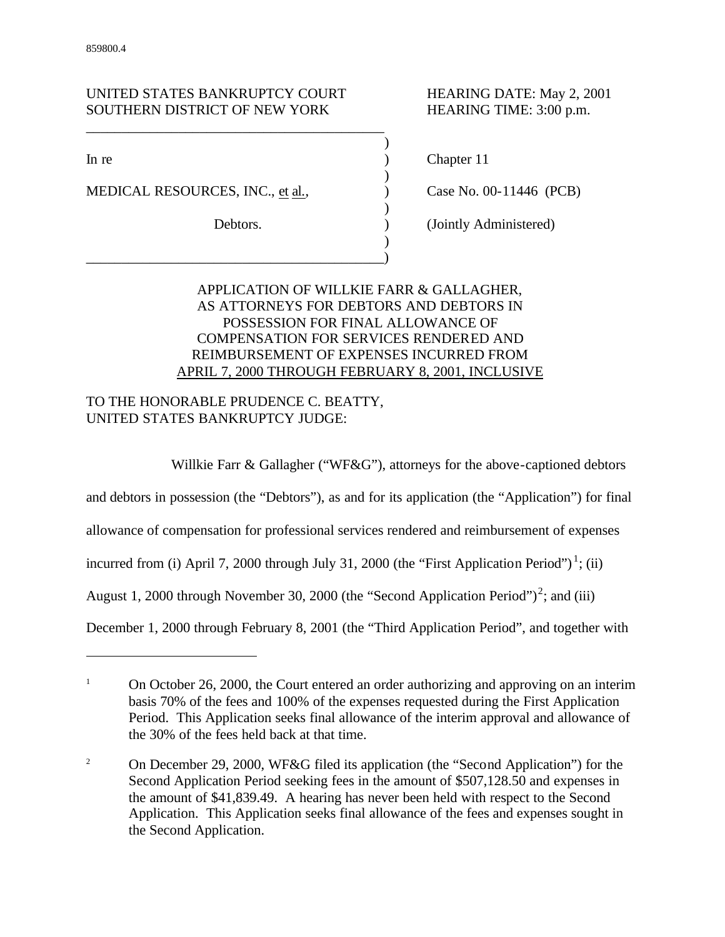# UNITED STATES BANKRUPTCY COURT HEARING DATE: May 2, 2001 SOUTHERN DISTRICT OF NEW YORK HEARING TIME: 3:00 p.m.

\_\_\_\_\_\_\_\_\_\_\_\_\_\_\_\_\_\_\_\_\_\_\_\_\_\_\_\_\_\_\_\_\_\_\_\_\_\_\_\_\_\_

 $\overline{a}$ 

MEDICAL RESOURCES, INC., et al.,  $\qquad \qquad$  Case No. 00-11446 (PCB)

\_\_\_\_\_\_\_\_\_\_\_\_\_\_\_\_\_\_\_\_\_\_\_\_\_\_\_\_\_\_\_\_\_\_\_\_\_\_\_\_\_\_)

In re a contract the contract of the contract of the contract of the contract of the contract of the contract of the contract of the contract of the contract of the contract of the contract of the contract of the contract

Debtors. (Jointly Administered)

# APPLICATION OF WILLKIE FARR & GALLAGHER, AS ATTORNEYS FOR DEBTORS AND DEBTORS IN POSSESSION FOR FINAL ALLOWANCE OF COMPENSATION FOR SERVICES RENDERED AND REIMBURSEMENT OF EXPENSES INCURRED FROM APRIL 7, 2000 THROUGH FEBRUARY 8, 2001, INCLUSIVE

)

)

)

)

# TO THE HONORABLE PRUDENCE C. BEATTY, UNITED STATES BANKRUPTCY JUDGE:

Willkie Farr & Gallagher ("WF&G"), attorneys for the above-captioned debtors

and debtors in possession (the "Debtors"), as and for its application (the "Application") for final

allowance of compensation for professional services rendered and reimbursement of expenses

incurred from (i) April 7, 2000 through July 31, 2000 (the "First Application Period")<sup>1</sup>; (ii)

August 1, 2000 through November 30, 2000 (the "Second Application Period")<sup>2</sup>; and (iii)

December 1, 2000 through February 8, 2001 (the "Third Application Period", and together with

<sup>&</sup>lt;sup>1</sup> On October 26, 2000, the Court entered an order authorizing and approving on an interim basis 70% of the fees and 100% of the expenses requested during the First Application Period. This Application seeks final allowance of the interim approval and allowance of the 30% of the fees held back at that time.

<sup>&</sup>lt;sup>2</sup> On December 29, 2000, WF&G filed its application (the "Second Application") for the Second Application Period seeking fees in the amount of \$507,128.50 and expenses in the amount of \$41,839.49. A hearing has never been held with respect to the Second Application. This Application seeks final allowance of the fees and expenses sought in the Second Application.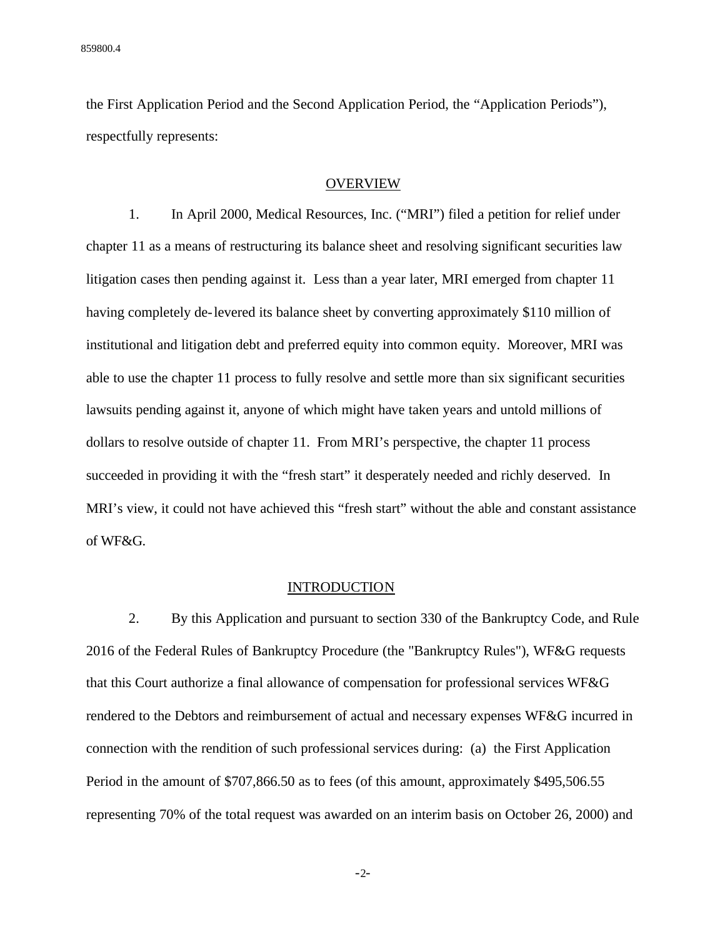the First Application Period and the Second Application Period, the "Application Periods"), respectfully represents:

## **OVERVIEW**

1. In April 2000, Medical Resources, Inc. ("MRI") filed a petition for relief under chapter 11 as a means of restructuring its balance sheet and resolving significant securities law litigation cases then pending against it. Less than a year later, MRI emerged from chapter 11 having completely de-levered its balance sheet by converting approximately \$110 million of institutional and litigation debt and preferred equity into common equity. Moreover, MRI was able to use the chapter 11 process to fully resolve and settle more than six significant securities lawsuits pending against it, anyone of which might have taken years and untold millions of dollars to resolve outside of chapter 11. From MRI's perspective, the chapter 11 process succeeded in providing it with the "fresh start" it desperately needed and richly deserved. In MRI's view, it could not have achieved this "fresh start" without the able and constant assistance of WF&G.

#### **INTRODUCTION**

2. By this Application and pursuant to section 330 of the Bankruptcy Code, and Rule 2016 of the Federal Rules of Bankruptcy Procedure (the "Bankruptcy Rules"), WF&G requests that this Court authorize a final allowance of compensation for professional services WF&G rendered to the Debtors and reimbursement of actual and necessary expenses WF&G incurred in connection with the rendition of such professional services during: (a) the First Application Period in the amount of \$707,866.50 as to fees (of this amount, approximately \$495,506.55 representing 70% of the total request was awarded on an interim basis on October 26, 2000) and

-2-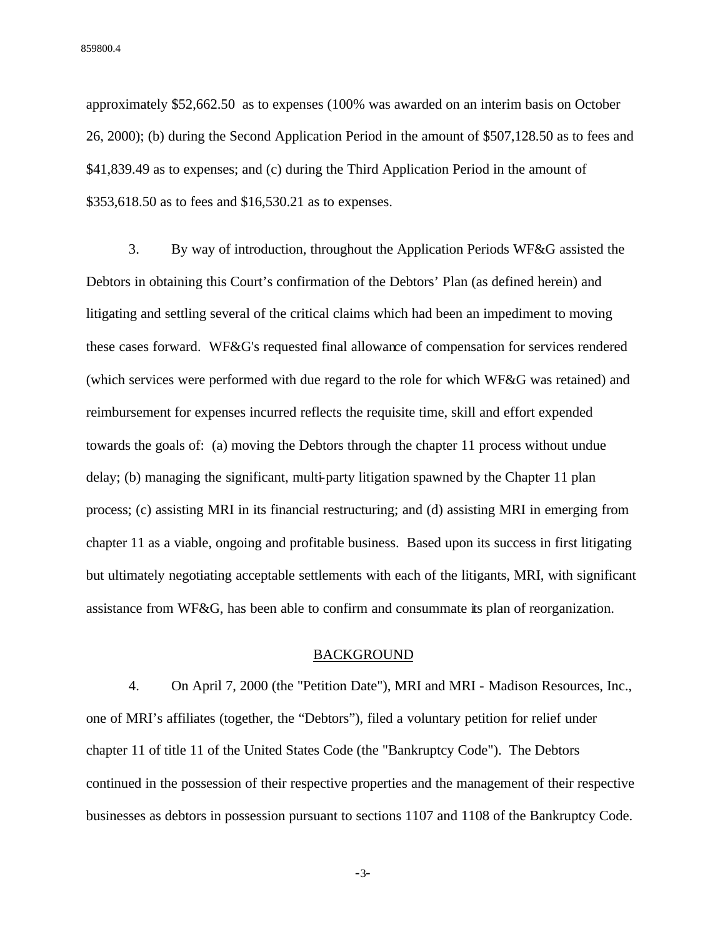approximately \$52,662.50 as to expenses (100% was awarded on an interim basis on October 26, 2000); (b) during the Second Application Period in the amount of \$507,128.50 as to fees and \$41,839.49 as to expenses; and (c) during the Third Application Period in the amount of \$353,618.50 as to fees and \$16,530.21 as to expenses.

3. By way of introduction, throughout the Application Periods WF&G assisted the Debtors in obtaining this Court's confirmation of the Debtors' Plan (as defined herein) and litigating and settling several of the critical claims which had been an impediment to moving these cases forward. WF&G's requested final allowance of compensation for services rendered (which services were performed with due regard to the role for which WF&G was retained) and reimbursement for expenses incurred reflects the requisite time, skill and effort expended towards the goals of: (a) moving the Debtors through the chapter 11 process without undue delay; (b) managing the significant, multi-party litigation spawned by the Chapter 11 plan process; (c) assisting MRI in its financial restructuring; and (d) assisting MRI in emerging from chapter 11 as a viable, ongoing and profitable business. Based upon its success in first litigating but ultimately negotiating acceptable settlements with each of the litigants, MRI, with significant assistance from WF&G, has been able to confirm and consummate its plan of reorganization.

## BACKGROUND

4. On April 7, 2000 (the "Petition Date"), MRI and MRI - Madison Resources, Inc., one of MRI's affiliates (together, the "Debtors"), filed a voluntary petition for relief under chapter 11 of title 11 of the United States Code (the "Bankruptcy Code"). The Debtors continued in the possession of their respective properties and the management of their respective businesses as debtors in possession pursuant to sections 1107 and 1108 of the Bankruptcy Code.

-3-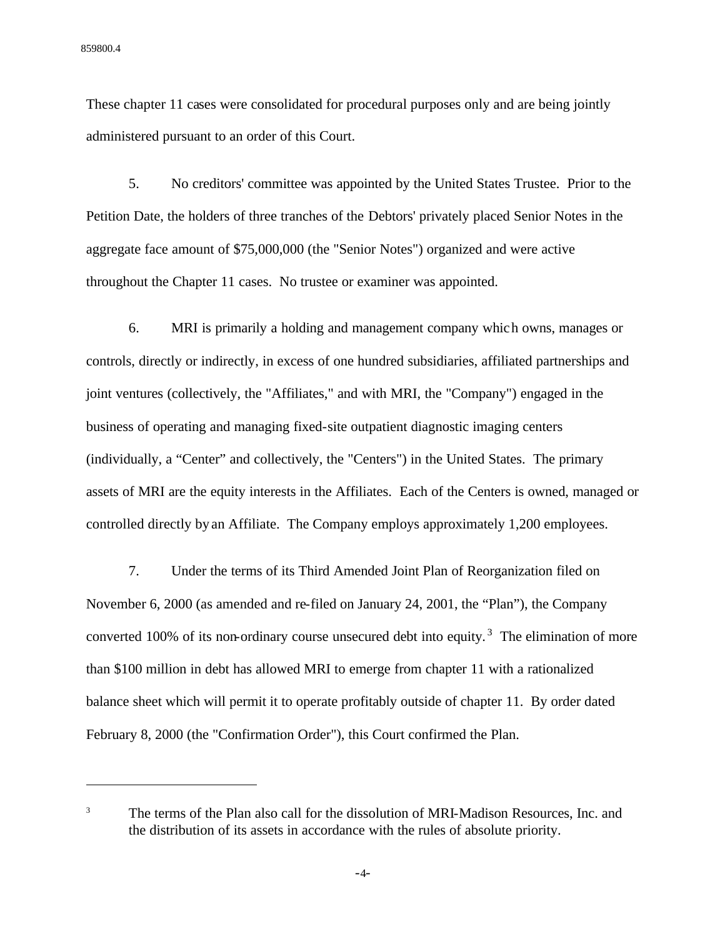$\overline{a}$ 

These chapter 11 cases were consolidated for procedural purposes only and are being jointly administered pursuant to an order of this Court.

5. No creditors' committee was appointed by the United States Trustee. Prior to the Petition Date, the holders of three tranches of the Debtors' privately placed Senior Notes in the aggregate face amount of \$75,000,000 (the "Senior Notes") organized and were active throughout the Chapter 11 cases. No trustee or examiner was appointed.

6. MRI is primarily a holding and management company which owns, manages or controls, directly or indirectly, in excess of one hundred subsidiaries, affiliated partnerships and joint ventures (collectively, the "Affiliates," and with MRI, the "Company") engaged in the business of operating and managing fixed-site outpatient diagnostic imaging centers (individually, a "Center" and collectively, the "Centers") in the United States. The primary assets of MRI are the equity interests in the Affiliates. Each of the Centers is owned, managed or controlled directly by an Affiliate. The Company employs approximately 1,200 employees.

7. Under the terms of its Third Amended Joint Plan of Reorganization filed on November 6, 2000 (as amended and re-filed on January 24, 2001, the "Plan"), the Company converted 100% of its non-ordinary course unsecured debt into equity.<sup>3</sup> The elimination of more than \$100 million in debt has allowed MRI to emerge from chapter 11 with a rationalized balance sheet which will permit it to operate profitably outside of chapter 11. By order dated February 8, 2000 (the "Confirmation Order"), this Court confirmed the Plan.

<sup>&</sup>lt;sup>3</sup> The terms of the Plan also call for the dissolution of MRI-Madison Resources, Inc. and the distribution of its assets in accordance with the rules of absolute priority.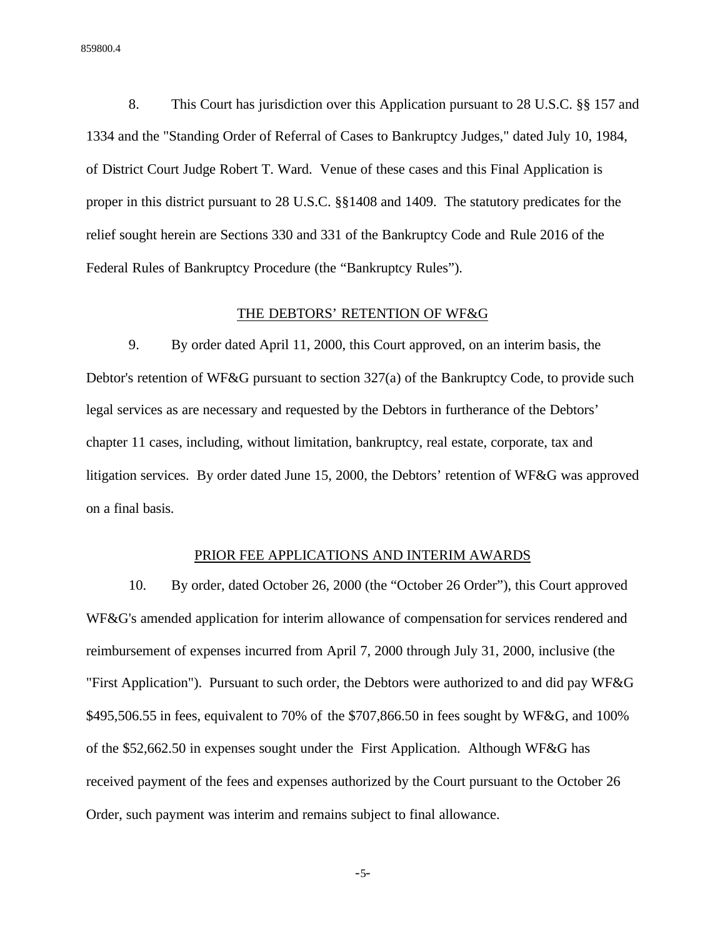8. This Court has jurisdiction over this Application pursuant to 28 U.S.C. §§ 157 and 1334 and the "Standing Order of Referral of Cases to Bankruptcy Judges," dated July 10, 1984, of District Court Judge Robert T. Ward. Venue of these cases and this Final Application is proper in this district pursuant to 28 U.S.C. §§1408 and 1409. The statutory predicates for the relief sought herein are Sections 330 and 331 of the Bankruptcy Code and Rule 2016 of the Federal Rules of Bankruptcy Procedure (the "Bankruptcy Rules").

## THE DEBTORS' RETENTION OF WF&G

9. By order dated April 11, 2000, this Court approved, on an interim basis, the Debtor's retention of WF&G pursuant to section 327(a) of the Bankruptcy Code, to provide such legal services as are necessary and requested by the Debtors in furtherance of the Debtors' chapter 11 cases, including, without limitation, bankruptcy, real estate, corporate, tax and litigation services. By order dated June 15, 2000, the Debtors' retention of WF&G was approved on a final basis.

# PRIOR FEE APPLICATIONS AND INTERIM AWARDS

10. By order, dated October 26, 2000 (the "October 26 Order"), this Court approved WF&G's amended application for interim allowance of compensation for services rendered and reimbursement of expenses incurred from April 7, 2000 through July 31, 2000, inclusive (the "First Application"). Pursuant to such order, the Debtors were authorized to and did pay WF&G \$495,506.55 in fees, equivalent to 70% of the \$707,866.50 in fees sought by WF&G, and 100% of the \$52,662.50 in expenses sought under the First Application. Although WF&G has received payment of the fees and expenses authorized by the Court pursuant to the October 26 Order, such payment was interim and remains subject to final allowance.

-5-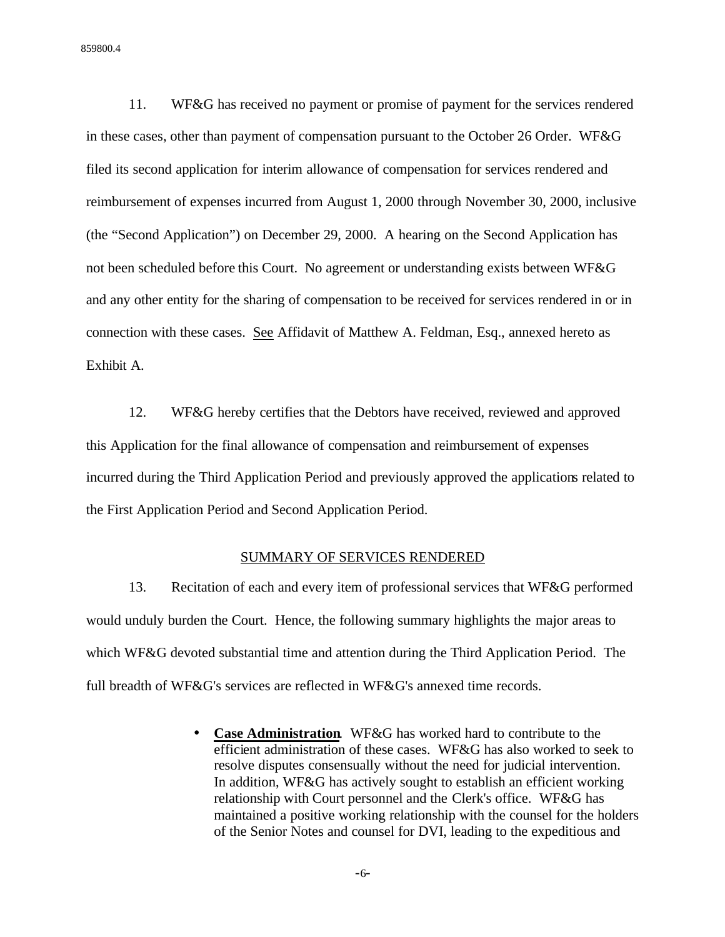11. WF&G has received no payment or promise of payment for the services rendered in these cases, other than payment of compensation pursuant to the October 26 Order. WF&G filed its second application for interim allowance of compensation for services rendered and reimbursement of expenses incurred from August 1, 2000 through November 30, 2000, inclusive (the "Second Application") on December 29, 2000. A hearing on the Second Application has not been scheduled before this Court. No agreement or understanding exists between WF&G and any other entity for the sharing of compensation to be received for services rendered in or in connection with these cases. See Affidavit of Matthew A. Feldman, Esq., annexed hereto as Exhibit A.

12. WF&G hereby certifies that the Debtors have received, reviewed and approved this Application for the final allowance of compensation and reimbursement of expenses incurred during the Third Application Period and previously approved the applications related to the First Application Period and Second Application Period.

#### SUMMARY OF SERVICES RENDERED

13. Recitation of each and every item of professional services that WF&G performed would unduly burden the Court. Hence, the following summary highlights the major areas to which WF&G devoted substantial time and attention during the Third Application Period. The full breadth of WF&G's services are reflected in WF&G's annexed time records.

> • **Case Administration**. WF&G has worked hard to contribute to the efficient administration of these cases. WF&G has also worked to seek to resolve disputes consensually without the need for judicial intervention. In addition, WF&G has actively sought to establish an efficient working relationship with Court personnel and the Clerk's office. WF&G has maintained a positive working relationship with the counsel for the holders of the Senior Notes and counsel for DVI, leading to the expeditious and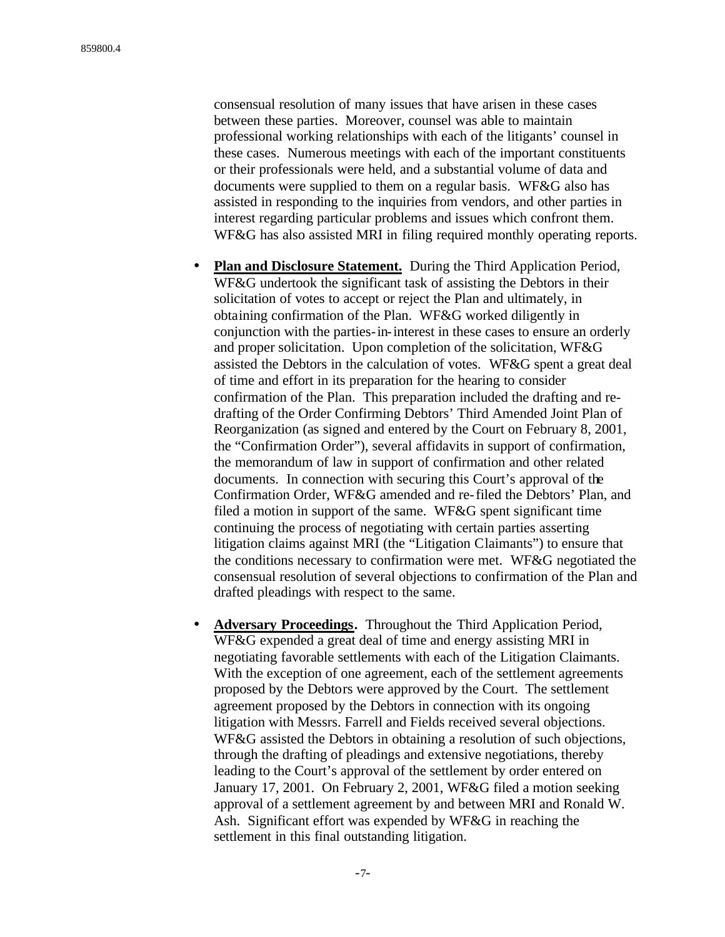consensual resolution of many issues that have arisen in these cases between these parties. Moreover, counsel was able to maintain professional working relationships with each of the litigants' counsel in these cases. Numerous meetings with each of the important constituents or their professionals were held, and a substantial volume of data and documents were supplied to them on a regular basis. WF&G also has assisted in responding to the inquiries from vendors, and other parties in interest regarding particular problems and issues which confront them. WF&G has also assisted MRI in filing required monthly operating reports.

- **Plan and Disclosure Statement.** During the Third Application Period, WF&G undertook the significant task of assisting the Debtors in their solicitation of votes to accept or reject the Plan and ultimately, in obtaining confirmation of the Plan. WF&G worked diligently in conjunction with the parties-in-interest in these cases to ensure an orderly and proper solicitation. Upon completion of the solicitation, WF&G assisted the Debtors in the calculation of votes. WF&G spent a great deal of time and effort in its preparation for the hearing to consider confirmation of the Plan. This preparation included the drafting and redrafting of the Order Confirming Debtors' Third Amended Joint Plan of Reorganization (as signed and entered by the Court on February 8, 2001, the "Confirmation Order"), several affidavits in support of confirmation, the memorandum of law in support of confirmation and other related documents. In connection with securing this Court's approval of the Confirmation Order, WF&G amended and re-filed the Debtors' Plan, and filed a motion in support of the same. WF&G spent significant time continuing the process of negotiating with certain parties asserting litigation claims against MRI (the "Litigation Claimants") to ensure that the conditions necessary to confirmation were met. WF&G negotiated the consensual resolution of several objections to confirmation of the Plan and drafted pleadings with respect to the same.
- **Adversary Proceedings.** Throughout the Third Application Period, WF&G expended a great deal of time and energy assisting MRI in negotiating favorable settlements with each of the Litigation Claimants. With the exception of one agreement, each of the settlement agreements proposed by the Debtors were approved by the Court. The settlement agreement proposed by the Debtors in connection with its ongoing litigation with Messrs. Farrell and Fields received several objections. WF&G assisted the Debtors in obtaining a resolution of such objections, through the drafting of pleadings and extensive negotiations, thereby leading to the Court's approval of the settlement by order entered on January 17, 2001. On February 2, 2001, WF&G filed a motion seeking approval of a settlement agreement by and between MRI and Ronald W. Ash. Significant effort was expended by WF&G in reaching the settlement in this final outstanding litigation.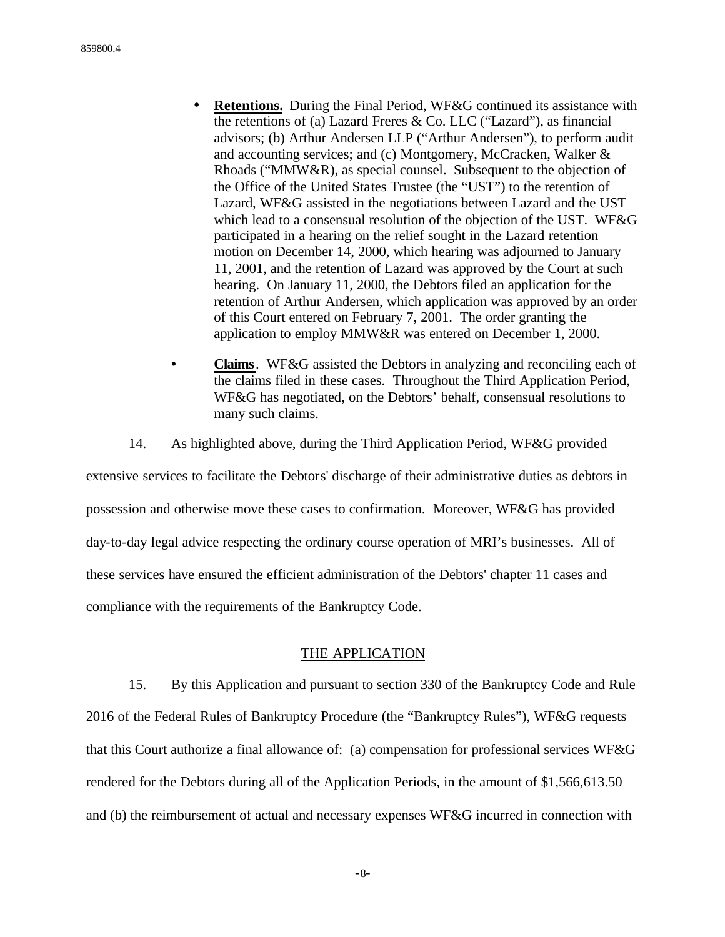- **Retentions.** During the Final Period, WF&G continued its assistance with the retentions of (a) Lazard Freres & Co. LLC ("Lazard"), as financial advisors; (b) Arthur Andersen LLP ("Arthur Andersen"), to perform audit and accounting services; and (c) Montgomery, McCracken, Walker & Rhoads ("MMW&R), as special counsel. Subsequent to the objection of the Office of the United States Trustee (the "UST") to the retention of Lazard, WF&G assisted in the negotiations between Lazard and the UST which lead to a consensual resolution of the objection of the UST. WF&G participated in a hearing on the relief sought in the Lazard retention motion on December 14, 2000, which hearing was adjourned to January 11, 2001, and the retention of Lazard was approved by the Court at such hearing. On January 11, 2000, the Debtors filed an application for the retention of Arthur Andersen, which application was approved by an order of this Court entered on February 7, 2001. The order granting the application to employ MMW&R was entered on December 1, 2000.
- **Claims**. WF&G assisted the Debtors in analyzing and reconciling each of the claims filed in these cases. Throughout the Third Application Period, WF&G has negotiated, on the Debtors' behalf, consensual resolutions to many such claims.
- 14. As highlighted above, during the Third Application Period, WF&G provided

extensive services to facilitate the Debtors' discharge of their administrative duties as debtors in possession and otherwise move these cases to confirmation. Moreover, WF&G has provided day-to-day legal advice respecting the ordinary course operation of MRI's businesses. All of these services have ensured the efficient administration of the Debtors' chapter 11 cases and compliance with the requirements of the Bankruptcy Code.

## THE APPLICATION

15. By this Application and pursuant to section 330 of the Bankruptcy Code and Rule 2016 of the Federal Rules of Bankruptcy Procedure (the "Bankruptcy Rules"), WF&G requests that this Court authorize a final allowance of: (a) compensation for professional services WF&G rendered for the Debtors during all of the Application Periods, in the amount of \$1,566,613.50 and (b) the reimbursement of actual and necessary expenses WF&G incurred in connection with

-8-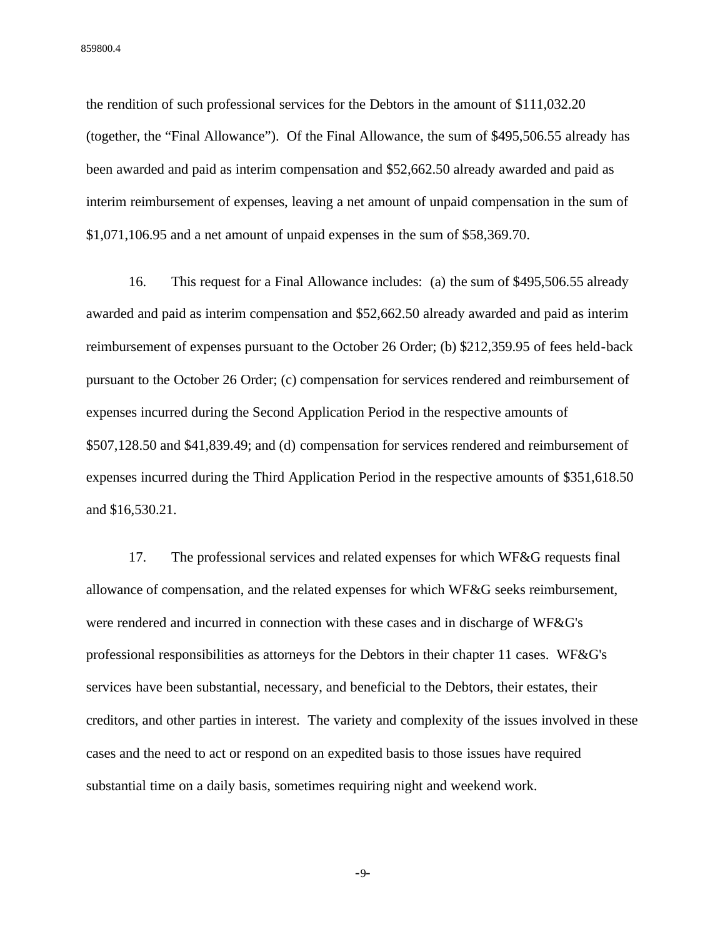the rendition of such professional services for the Debtors in the amount of \$111,032.20 (together, the "Final Allowance"). Of the Final Allowance, the sum of \$495,506.55 already has been awarded and paid as interim compensation and \$52,662.50 already awarded and paid as interim reimbursement of expenses, leaving a net amount of unpaid compensation in the sum of \$1,071,106.95 and a net amount of unpaid expenses in the sum of \$58,369.70.

16. This request for a Final Allowance includes: (a) the sum of \$495,506.55 already awarded and paid as interim compensation and \$52,662.50 already awarded and paid as interim reimbursement of expenses pursuant to the October 26 Order; (b) \$212,359.95 of fees held-back pursuant to the October 26 Order; (c) compensation for services rendered and reimbursement of expenses incurred during the Second Application Period in the respective amounts of \$507,128.50 and \$41,839.49; and (d) compensation for services rendered and reimbursement of expenses incurred during the Third Application Period in the respective amounts of \$351,618.50 and \$16,530.21.

17. The professional services and related expenses for which WF&G requests final allowance of compensation, and the related expenses for which WF&G seeks reimbursement, were rendered and incurred in connection with these cases and in discharge of WF&G's professional responsibilities as attorneys for the Debtors in their chapter 11 cases. WF&G's services have been substantial, necessary, and beneficial to the Debtors, their estates, their creditors, and other parties in interest. The variety and complexity of the issues involved in these cases and the need to act or respond on an expedited basis to those issues have required substantial time on a daily basis, sometimes requiring night and weekend work.

-9-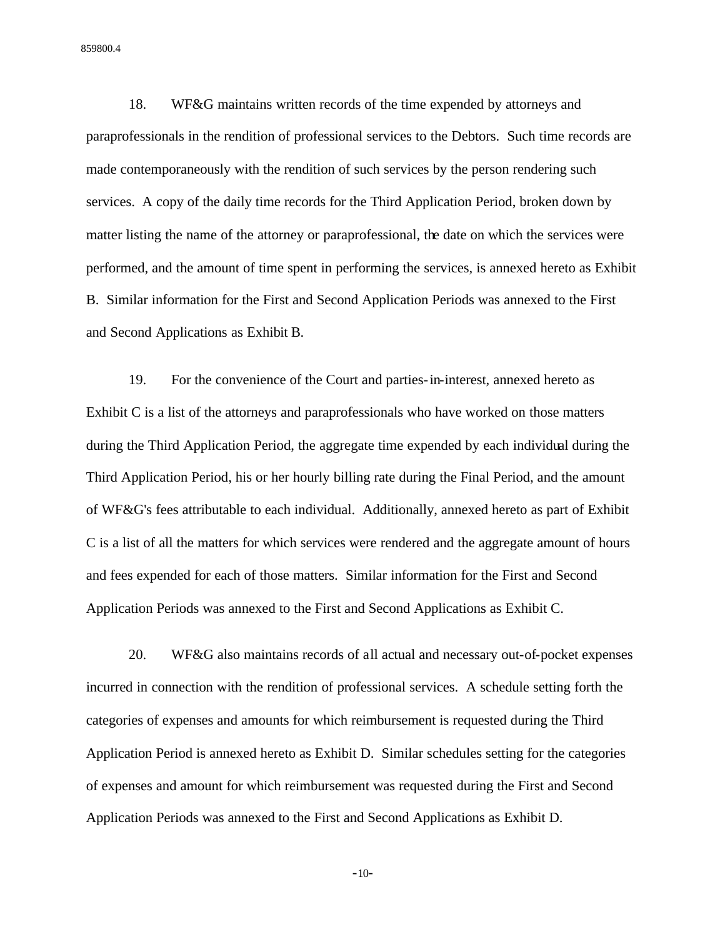18. WF&G maintains written records of the time expended by attorneys and paraprofessionals in the rendition of professional services to the Debtors. Such time records are made contemporaneously with the rendition of such services by the person rendering such services. A copy of the daily time records for the Third Application Period, broken down by matter listing the name of the attorney or paraprofessional, the date on which the services were performed, and the amount of time spent in performing the services, is annexed hereto as Exhibit B. Similar information for the First and Second Application Periods was annexed to the First and Second Applications as Exhibit B.

19. For the convenience of the Court and parties-in-interest, annexed hereto as Exhibit C is a list of the attorneys and paraprofessionals who have worked on those matters during the Third Application Period, the aggregate time expended by each individual during the Third Application Period, his or her hourly billing rate during the Final Period, and the amount of WF&G's fees attributable to each individual. Additionally, annexed hereto as part of Exhibit C is a list of all the matters for which services were rendered and the aggregate amount of hours and fees expended for each of those matters. Similar information for the First and Second Application Periods was annexed to the First and Second Applications as Exhibit C.

20. WF&G also maintains records of all actual and necessary out-of-pocket expenses incurred in connection with the rendition of professional services. A schedule setting forth the categories of expenses and amounts for which reimbursement is requested during the Third Application Period is annexed hereto as Exhibit D. Similar schedules setting for the categories of expenses and amount for which reimbursement was requested during the First and Second Application Periods was annexed to the First and Second Applications as Exhibit D.

-10-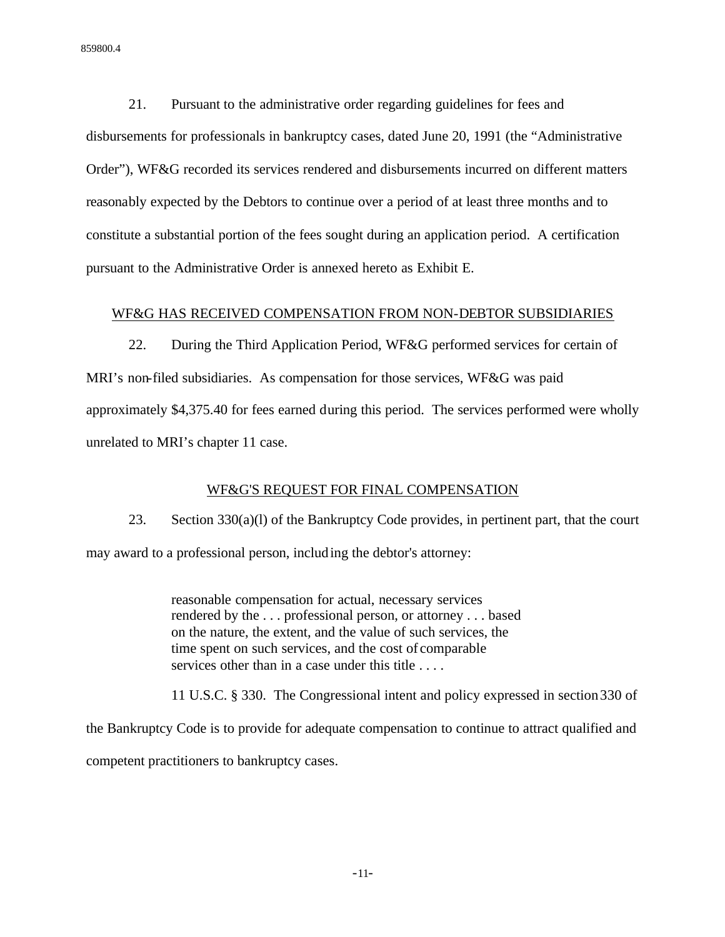21. Pursuant to the administrative order regarding guidelines for fees and disbursements for professionals in bankruptcy cases, dated June 20, 1991 (the "Administrative Order"), WF&G recorded its services rendered and disbursements incurred on different matters reasonably expected by the Debtors to continue over a period of at least three months and to constitute a substantial portion of the fees sought during an application period. A certification pursuant to the Administrative Order is annexed hereto as Exhibit E.

# WF&G HAS RECEIVED COMPENSATION FROM NON-DEBTOR SUBSIDIARIES

22. During the Third Application Period, WF&G performed services for certain of MRI's non-filed subsidiaries. As compensation for those services, WF&G was paid approximately \$4,375.40 for fees earned during this period. The services performed were wholly unrelated to MRI's chapter 11 case.

## WF&G'S REQUEST FOR FINAL COMPENSATION

23. Section 330(a)(l) of the Bankruptcy Code provides, in pertinent part, that the court may award to a professional person, including the debtor's attorney:

> reasonable compensation for actual, necessary services rendered by the . . . professional person, or attorney . . . based on the nature, the extent, and the value of such services, the time spent on such services, and the cost of comparable services other than in a case under this title . . . .

11 U.S.C. § 330. The Congressional intent and policy expressed in section330 of

the Bankruptcy Code is to provide for adequate compensation to continue to attract qualified and competent practitioners to bankruptcy cases.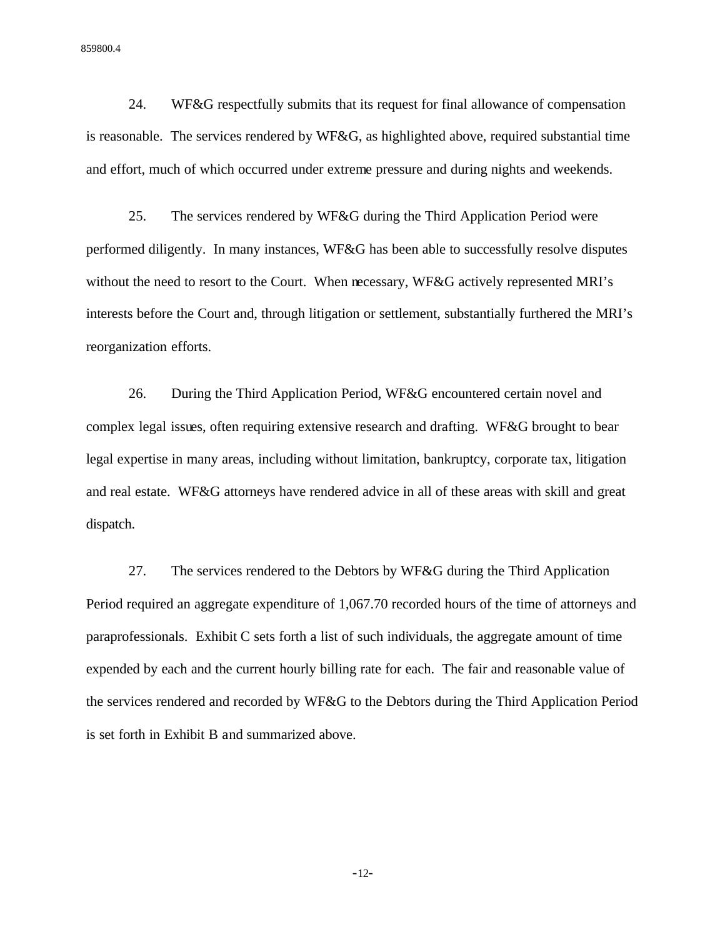24. WF&G respectfully submits that its request for final allowance of compensation is reasonable. The services rendered by WF&G, as highlighted above, required substantial time and effort, much of which occurred under extreme pressure and during nights and weekends.

25. The services rendered by WF&G during the Third Application Period were performed diligently. In many instances, WF&G has been able to successfully resolve disputes without the need to resort to the Court. When necessary, WF&G actively represented MRI's interests before the Court and, through litigation or settlement, substantially furthered the MRI's reorganization efforts.

26. During the Third Application Period, WF&G encountered certain novel and complex legal issues, often requiring extensive research and drafting. WF&G brought to bear legal expertise in many areas, including without limitation, bankruptcy, corporate tax, litigation and real estate. WF&G attorneys have rendered advice in all of these areas with skill and great dispatch.

27. The services rendered to the Debtors by WF&G during the Third Application Period required an aggregate expenditure of 1,067.70 recorded hours of the time of attorneys and paraprofessionals. Exhibit C sets forth a list of such individuals, the aggregate amount of time expended by each and the current hourly billing rate for each. The fair and reasonable value of the services rendered and recorded by WF&G to the Debtors during the Third Application Period is set forth in Exhibit B and summarized above.

-12-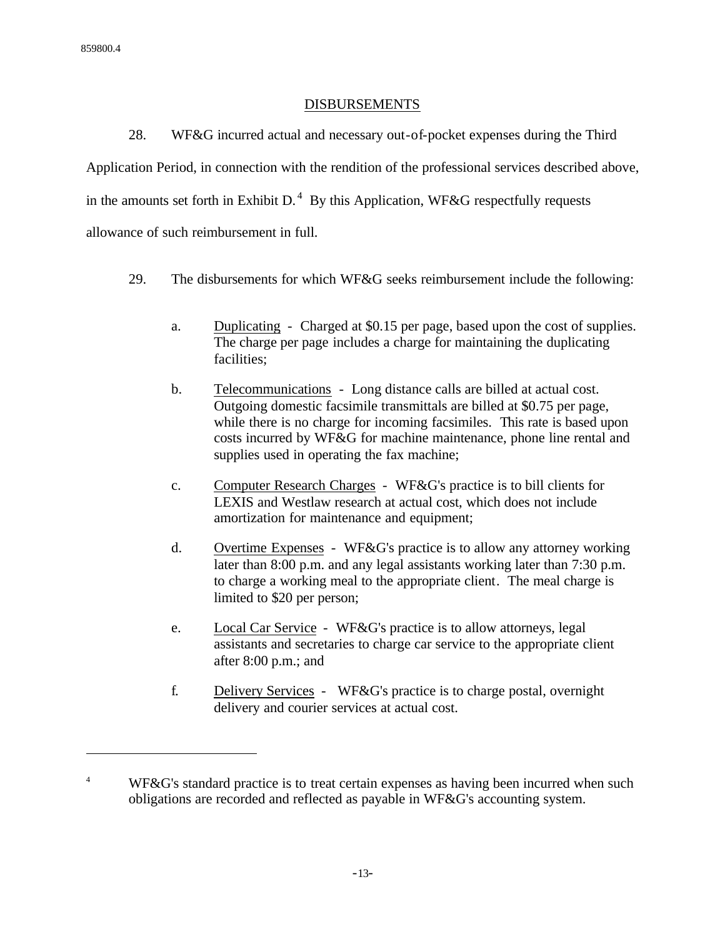$\overline{a}$ 

# DISBURSEMENTS

28. WF&G incurred actual and necessary out-of-pocket expenses during the Third Application Period, in connection with the rendition of the professional services described above, in the amounts set forth in Exhibit D.<sup>4</sup> By this Application, WF&G respectfully requests allowance of such reimbursement in full.

- 29. The disbursements for which WF&G seeks reimbursement include the following:
	- a. Duplicating Charged at \$0.15 per page, based upon the cost of supplies. The charge per page includes a charge for maintaining the duplicating facilities;
	- b. Telecommunications Long distance calls are billed at actual cost. Outgoing domestic facsimile transmittals are billed at \$0.75 per page, while there is no charge for incoming facsimiles. This rate is based upon costs incurred by WF&G for machine maintenance, phone line rental and supplies used in operating the fax machine;
	- c. Computer Research Charges WF&G's practice is to bill clients for LEXIS and Westlaw research at actual cost, which does not include amortization for maintenance and equipment;
	- d. Overtime Expenses WF&G's practice is to allow any attorney working later than 8:00 p.m. and any legal assistants working later than 7:30 p.m. to charge a working meal to the appropriate client. The meal charge is limited to \$20 per person;
	- e. Local Car Service WF&G's practice is to allow attorneys, legal assistants and secretaries to charge car service to the appropriate client after 8:00 p.m.; and
	- f. Delivery Services WF&G's practice is to charge postal, overnight delivery and courier services at actual cost.

<sup>&</sup>lt;sup>4</sup> WF&G's standard practice is to treat certain expenses as having been incurred when such obligations are recorded and reflected as payable in WF&G's accounting system.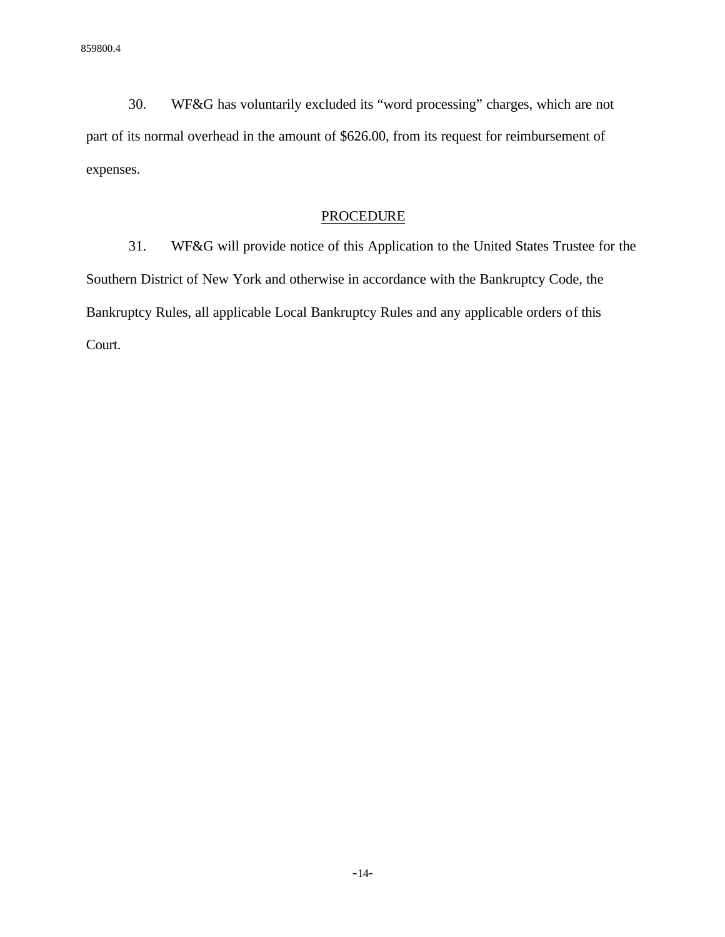30. WF&G has voluntarily excluded its "word processing" charges, which are not part of its normal overhead in the amount of \$626.00, from its request for reimbursement of expenses.

## PROCEDURE

31. WF&G will provide notice of this Application to the United States Trustee for the Southern District of New York and otherwise in accordance with the Bankruptcy Code, the Bankruptcy Rules, all applicable Local Bankruptcy Rules and any applicable orders of this Court.